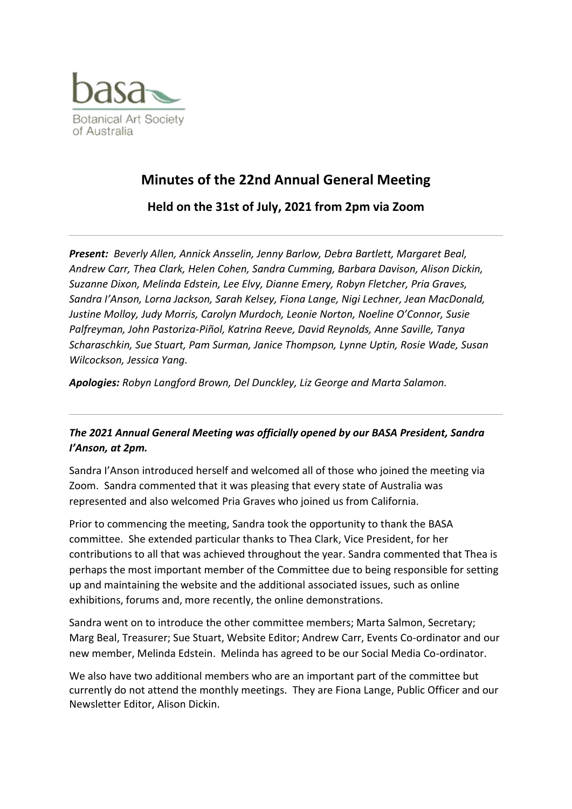

# **Minutes of the 22nd Annual General Meeting**

**Held on the 31st of July, 2021 from 2pm via Zoom**

*Present: Beverly Allen, Annick Ansselin, Jenny Barlow, Debra Bartlett, Margaret Beal, Andrew Carr, Thea Clark, Helen Cohen, Sandra Cumming, Barbara Davison, Alison Dickin, Suzanne Dixon, Melinda Edstein, Lee Elvy, Dianne Emery, Robyn Fletcher, Pria Graves, Sandra I'Anson, Lorna Jackson, Sarah Kelsey, Fiona Lange, Nigi Lechner, Jean MacDonald, Justine Molloy, Judy Morris, Carolyn Murdoch, Leonie Norton, Noeline O'Connor, Susie Palfreyman, John Pastoriza-Piñol, Katrina Reeve, David Reynolds, Anne Saville, Tanya Scharaschkin, Sue Stuart, Pam Surman, Janice Thompson, Lynne Uptin, Rosie Wade, Susan Wilcockson, Jessica Yang.*

*Apologies: Robyn Langford Brown, Del Dunckley, Liz George and Marta Salamon.*

## *The 2021 Annual General Meeting was officially opened by our BASA President, Sandra I'Anson, at 2pm.*

Sandra I'Anson introduced herself and welcomed all of those who joined the meeting via Zoom. Sandra commented that it was pleasing that every state of Australia was represented and also welcomed Pria Graves who joined us from California.

Prior to commencing the meeting, Sandra took the opportunity to thank the BASA committee. She extended particular thanks to Thea Clark, Vice President, for her contributions to all that was achieved throughout the year. Sandra commented that Thea is perhaps the most important member of the Committee due to being responsible for setting up and maintaining the website and the additional associated issues, such as online exhibitions, forums and, more recently, the online demonstrations.

Sandra went on to introduce the other committee members; Marta Salmon, Secretary; Marg Beal, Treasurer; Sue Stuart, Website Editor; Andrew Carr, Events Co-ordinator and our new member, Melinda Edstein. Melinda has agreed to be our Social Media Co-ordinator.

We also have two additional members who are an important part of the committee but currently do not attend the monthly meetings. They are Fiona Lange, Public Officer and our Newsletter Editor, Alison Dickin.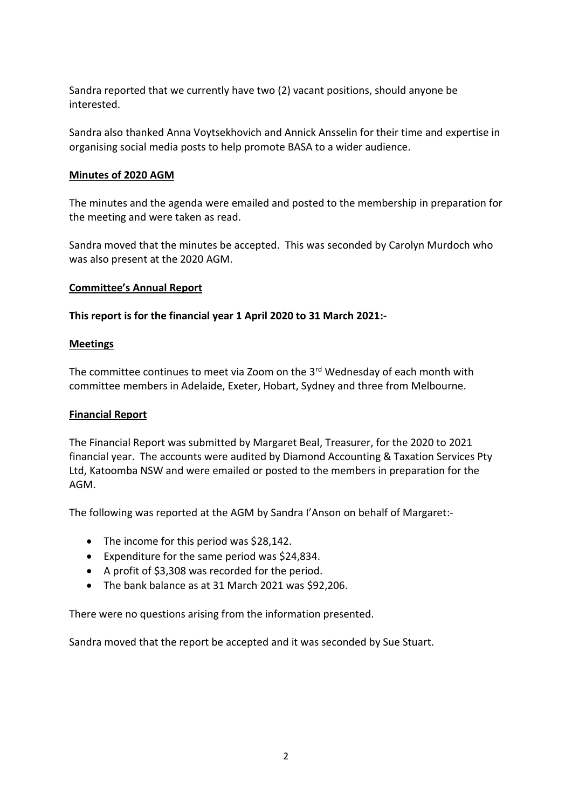Sandra reported that we currently have two (2) vacant positions, should anyone be interested.

Sandra also thanked Anna Voytsekhovich and Annick Ansselin for their time and expertise in organising social media posts to help promote BASA to a wider audience.

#### **Minutes of 2020 AGM**

The minutes and the agenda were emailed and posted to the membership in preparation for the meeting and were taken as read.

Sandra moved that the minutes be accepted. This was seconded by Carolyn Murdoch who was also present at the 2020 AGM.

#### **Committee's Annual Report**

#### **This report is for the financial year 1 April 2020 to 31 March 2021:-**

#### **Meetings**

The committee continues to meet via Zoom on the 3<sup>rd</sup> Wednesday of each month with committee members in Adelaide, Exeter, Hobart, Sydney and three from Melbourne.

#### **Financial Report**

The Financial Report was submitted by Margaret Beal, Treasurer, for the 2020 to 2021 financial year. The accounts were audited by Diamond Accounting & Taxation Services Pty Ltd, Katoomba NSW and were emailed or posted to the members in preparation for the AGM.

The following was reported at the AGM by Sandra I'Anson on behalf of Margaret:-

- The income for this period was \$28,142.
- Expenditure for the same period was \$24,834.
- A profit of \$3,308 was recorded for the period.
- The bank balance as at 31 March 2021 was \$92,206.

There were no questions arising from the information presented.

Sandra moved that the report be accepted and it was seconded by Sue Stuart.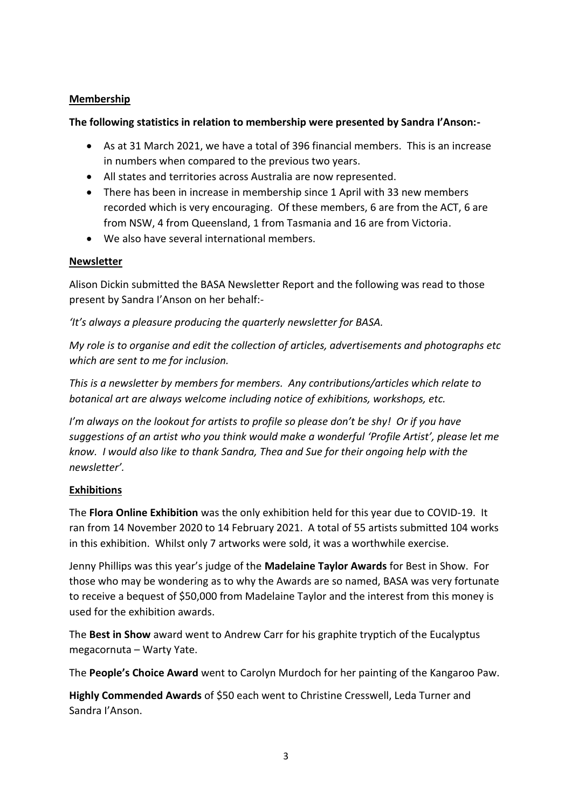### **Membership**

### **The following statistics in relation to membership were presented by Sandra I'Anson:-**

- As at 31 March 2021, we have a total of 396 financial members. This is an increase in numbers when compared to the previous two years.
- All states and territories across Australia are now represented.
- There has been in increase in membership since 1 April with 33 new members recorded which is very encouraging. Of these members, 6 are from the ACT, 6 are from NSW, 4 from Queensland, 1 from Tasmania and 16 are from Victoria.
- We also have several international members.

### **Newsletter**

Alison Dickin submitted the BASA Newsletter Report and the following was read to those present by Sandra I'Anson on her behalf:-

### *'It's always a pleasure producing the quarterly newsletter for BASA.*

*My role is to organise and edit the collection of articles, advertisements and photographs etc which are sent to me for inclusion.* 

*This is a newsletter by members for members. Any contributions/articles which relate to botanical art are always welcome including notice of exhibitions, workshops, etc.* 

*I'm always on the lookout for artists to profile so please don't be shy! Or if you have suggestions of an artist who you think would make a wonderful 'Profile Artist', please let me know. I would also like to thank Sandra, Thea and Sue for their ongoing help with the newsletter'.*

### **Exhibitions**

The **Flora Online Exhibition** was the only exhibition held for this year due to COVID-19. It ran from 14 November 2020 to 14 February 2021. A total of 55 artists submitted 104 works in this exhibition. Whilst only 7 artworks were sold, it was a worthwhile exercise.

Jenny Phillips was this year's judge of the **Madelaine Taylor Awards** for Best in Show. For those who may be wondering as to why the Awards are so named, BASA was very fortunate to receive a bequest of \$50,000 from Madelaine Taylor and the interest from this money is used for the exhibition awards.

The **Best in Show** award went to Andrew Carr for his graphite tryptich of the Eucalyptus megacornuta – Warty Yate.

The **People's Choice Award** went to Carolyn Murdoch for her painting of the Kangaroo Paw.

**Highly Commended Awards** of \$50 each went to Christine Cresswell, Leda Turner and Sandra I'Anson.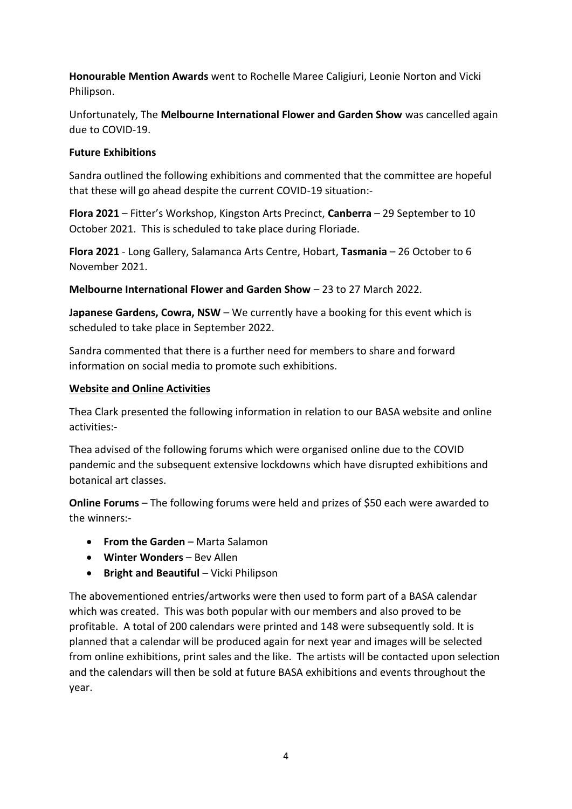**Honourable Mention Awards** went to Rochelle Maree Caligiuri, Leonie Norton and Vicki Philipson.

Unfortunately, The **Melbourne International Flower and Garden Show** was cancelled again due to COVID-19.

### **Future Exhibitions**

Sandra outlined the following exhibitions and commented that the committee are hopeful that these will go ahead despite the current COVID-19 situation:-

**Flora 2021** – Fitter's Workshop, Kingston Arts Precinct, **Canberra** – 29 September to 10 October 2021. This is scheduled to take place during Floriade.

**Flora 2021** - Long Gallery, Salamanca Arts Centre, Hobart, **Tasmania** – 26 October to 6 November 2021.

**Melbourne International Flower and Garden Show** – 23 to 27 March 2022.

**Japanese Gardens, Cowra, NSW** – We currently have a booking for this event which is scheduled to take place in September 2022.

Sandra commented that there is a further need for members to share and forward information on social media to promote such exhibitions.

### **Website and Online Activities**

Thea Clark presented the following information in relation to our BASA website and online activities:-

Thea advised of the following forums which were organised online due to the COVID pandemic and the subsequent extensive lockdowns which have disrupted exhibitions and botanical art classes.

**Online Forums** – The following forums were held and prizes of \$50 each were awarded to the winners:-

- **From the Garden** Marta Salamon
- **Winter Wonders** Bev Allen
- **Bright and Beautiful** Vicki Philipson

The abovementioned entries/artworks were then used to form part of a BASA calendar which was created. This was both popular with our members and also proved to be profitable. A total of 200 calendars were printed and 148 were subsequently sold. It is planned that a calendar will be produced again for next year and images will be selected from online exhibitions, print sales and the like. The artists will be contacted upon selection and the calendars will then be sold at future BASA exhibitions and events throughout the year.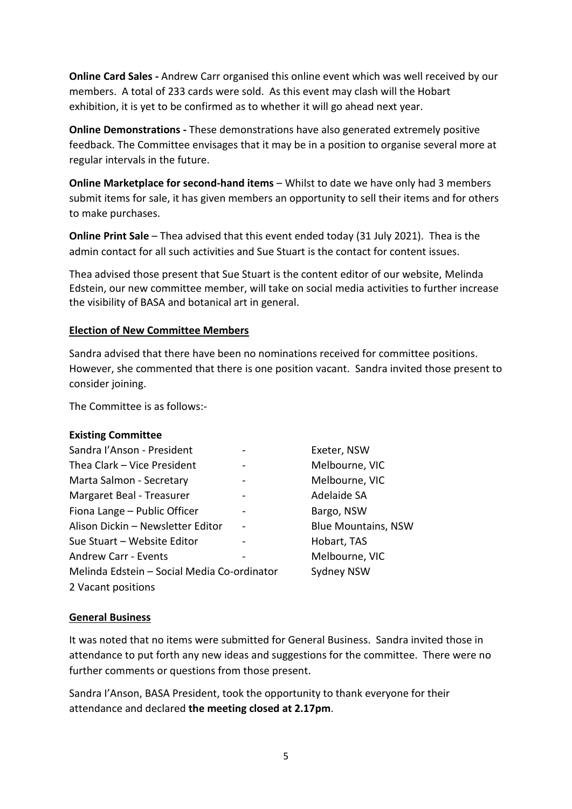**Online Card Sales -** Andrew Carr organised this online event which was well received by our members. A total of 233 cards were sold. As this event may clash will the Hobart exhibition, it is yet to be confirmed as to whether it will go ahead next year.

**Online Demonstrations -** These demonstrations have also generated extremely positive feedback. The Committee envisages that it may be in a position to organise several more at regular intervals in the future.

**Online Marketplace for second-hand items** – Whilst to date we have only had 3 members submit items for sale, it has given members an opportunity to sell their items and for others to make purchases.

**Online Print Sale** – Thea advised that this event ended today (31 July 2021). Thea is the admin contact for all such activities and Sue Stuart is the contact for content issues.

Thea advised those present that Sue Stuart is the content editor of our website, Melinda Edstein, our new committee member, will take on social media activities to further increase the visibility of BASA and botanical art in general.

#### **Election of New Committee Members**

Sandra advised that there have been no nominations received for committee positions. However, she commented that there is one position vacant. Sandra invited those present to consider joining.

The Committee is as follows:-

#### **Existing Committee**

| Sandra l'Anson - President                  |  | Exeter, NSW                |
|---------------------------------------------|--|----------------------------|
| Thea Clark - Vice President                 |  | Melbourne, VIC             |
| Marta Salmon - Secretary                    |  | Melbourne, VIC             |
| Margaret Beal - Treasurer                   |  | Adelaide SA                |
| Fiona Lange - Public Officer                |  | Bargo, NSW                 |
| Alison Dickin - Newsletter Editor           |  | <b>Blue Mountains, NSW</b> |
| Sue Stuart - Website Editor                 |  | Hobart, TAS                |
| <b>Andrew Carr - Events</b>                 |  | Melbourne, VIC             |
| Melinda Edstein - Social Media Co-ordinator |  | Sydney NSW                 |
| 2 Vacant positions                          |  |                            |

### **General Business**

It was noted that no items were submitted for General Business. Sandra invited those in attendance to put forth any new ideas and suggestions for the committee. There were no further comments or questions from those present.

Sandra I'Anson, BASA President, took the opportunity to thank everyone for their attendance and declared **the meeting closed at 2.17pm**.